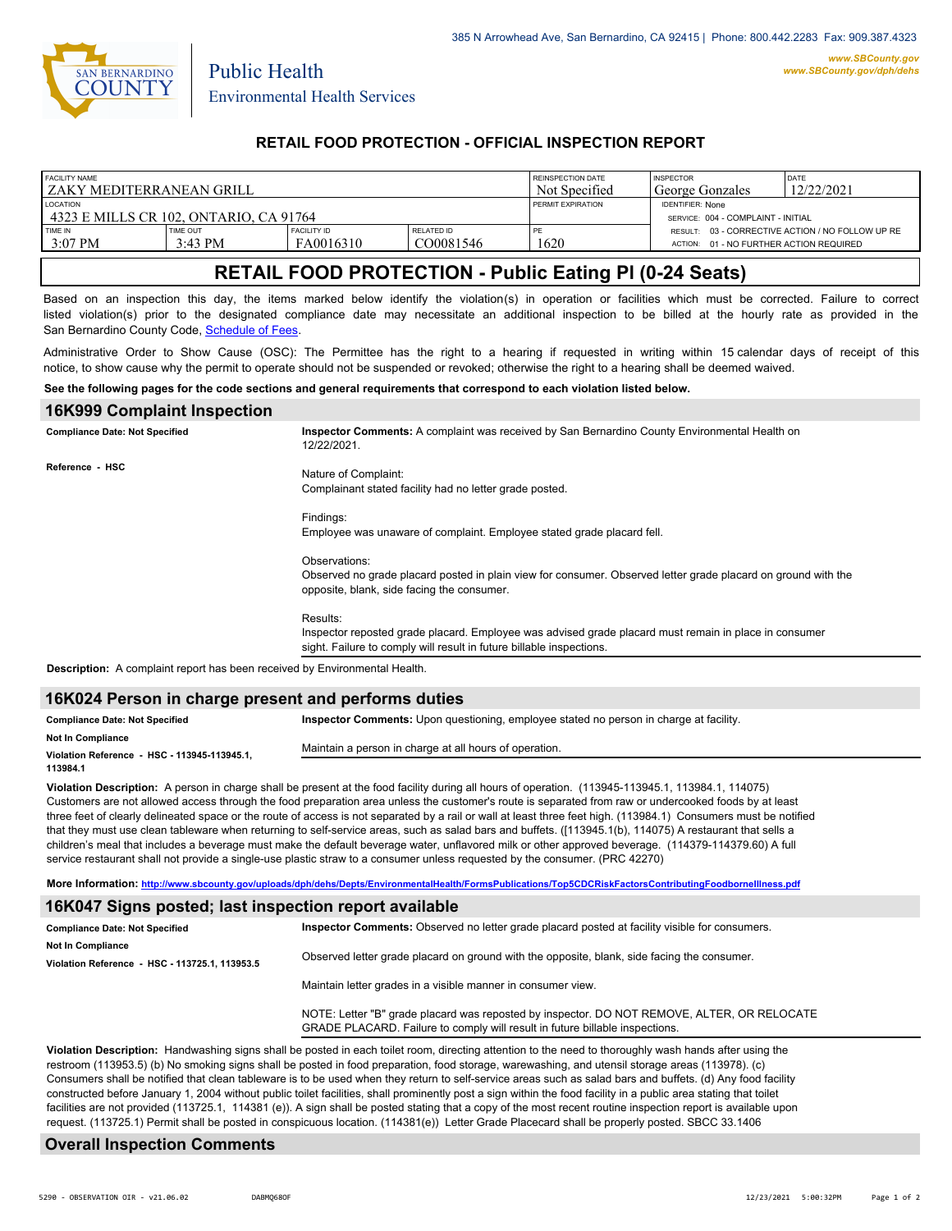

Public Health

### **RETAIL FOOD PROTECTION - OFFICIAL INSPECTION REPORT**

| <b>FACILITY NAME</b><br>I ZAKY MEDITERRANEAN GRILL        |                               |                                 | REINSPECTION DATE<br>Not Specified | <b>INSPECTOR</b><br>George Gonzales | DATE<br>12/22/2021                                            |                                                  |
|-----------------------------------------------------------|-------------------------------|---------------------------------|------------------------------------|-------------------------------------|---------------------------------------------------------------|--------------------------------------------------|
| <b>LOCATION</b><br>4323 E MILLS CR 102. ONTARIO. CA 91764 |                               |                                 |                                    | PERMIT EXPIRATION                   | <b>IDENTIFIER: None</b><br>SERVICE: 004 - COMPLAINT - INITIAL |                                                  |
| TIME IN<br>$3:07$ PM                                      | TIME OUT<br>$3:43 \text{ PM}$ | <b>FACILITY ID</b><br>FA0016310 | RELATED ID<br>CO0081546            | PE<br>1620                          | ACTION: 01 - NO FURTHER ACTION REQUIRED                       | RESULT: 03 - CORRECTIVE ACTION / NO FOLLOW UP RE |

# **RETAIL FOOD PROTECTION - Public Eating Pl (0-24 Seats)**

Based on an inspection this day, the items marked below identify the violation(s) in operation or facilities which must be corrected. Failure to correct listed violation(s) prior to the designated compliance date may necessitate an additional inspection to be billed at the hourly rate as provided in the San Bernardino County Code, Schedule of Fees

Administrative Order to Show Cause (OSC): The Permittee has the right to a hearing if requested in writing within 15 calendar days of receipt of this notice, to show cause why the permit to operate should not be suspended or revoked; otherwise the right to a hearing shall be deemed waived.

#### **See the following pages for the code sections and general requirements that correspond to each violation listed below.**

| <b>16K999 Complaint Inspection</b>                                                |                                                                                                                                                                                           |  |  |  |
|-----------------------------------------------------------------------------------|-------------------------------------------------------------------------------------------------------------------------------------------------------------------------------------------|--|--|--|
| <b>Compliance Date: Not Specified</b>                                             | Inspector Comments: A complaint was received by San Bernardino County Environmental Health on<br>12/22/2021.                                                                              |  |  |  |
| Reference - HSC                                                                   | Nature of Complaint:<br>Complainant stated facility had no letter grade posted.                                                                                                           |  |  |  |
|                                                                                   | Findings:<br>Employee was unaware of complaint. Employee stated grade placard fell.                                                                                                       |  |  |  |
|                                                                                   | Observations:<br>Observed no grade placard posted in plain view for consumer. Observed letter grade placard on ground with the<br>opposite, blank, side facing the consumer.              |  |  |  |
|                                                                                   | Results:<br>Inspector reposted grade placard. Employee was advised grade placard must remain in place in consumer<br>sight. Failure to comply will result in future billable inspections. |  |  |  |
| <b>Description:</b> A complaint report has been received by Environmental Health. |                                                                                                                                                                                           |  |  |  |

#### **16K024 Person in charge present and performs duties**

| <b>Compliance Date: Not Specified</b>                    | <b>Inspector Comments:</b> Upon questioning, employee stated no person in charge at facility. |  |  |
|----------------------------------------------------------|-----------------------------------------------------------------------------------------------|--|--|
| <b>Not In Compliance</b>                                 | Maintain a person in charge at all hours of operation.                                        |  |  |
| Violation Reference - HSC - 113945-113945.1.<br>113984.1 |                                                                                               |  |  |
|                                                          |                                                                                               |  |  |

**Violation Description:** A person in charge shall be present at the food facility during all hours of operation. (113945-113945.1, 113984.1, 114075) Customers are not allowed access through the food preparation area unless the customer's route is separated from raw or undercooked foods by at least three feet of clearly delineated space or the route of access is not separated by a rail or wall at least three feet high. (113984.1) Consumers must be notified that they must use clean tableware when returning to self-service areas, such as salad bars and buffets. ([113945.1(b), 114075) A restaurant that sells a children's meal that includes a beverage must make the default beverage water, unflavored milk or other approved beverage. (114379-114379.60) A full service restaurant shall not provide a single-use plastic straw to a consumer unless requested by the consumer. (PRC 42270)

**More Information: <http://www.sbcounty.gov/uploads/dph/dehs/Depts/EnvironmentalHealth/FormsPublications/Top5CDCRiskFactorsContributingFoodborneIllness.pdf>**

#### **16K047 Signs posted; last inspection report available**

| <b>Compliance Date: Not Specified</b>          | Inspector Comments: Observed no letter grade placard posted at facility visible for consumers.                                                                              |  |
|------------------------------------------------|-----------------------------------------------------------------------------------------------------------------------------------------------------------------------------|--|
| <b>Not In Compliance</b>                       |                                                                                                                                                                             |  |
| Violation Reference - HSC - 113725.1. 113953.5 | Observed letter grade placard on ground with the opposite, blank, side facing the consumer.                                                                                 |  |
|                                                | Maintain letter grades in a visible manner in consumer view.                                                                                                                |  |
|                                                | NOTE: Letter "B" grade placard was reposted by inspector. DO NOT REMOVE, ALTER, OR RELOCATE<br>GRADE PLACARD. Failure to comply will result in future billable inspections. |  |

**Violation Description:** Handwashing signs shall be posted in each toilet room, directing attention to the need to thoroughly wash hands after using the restroom (113953.5) (b) No smoking signs shall be posted in food preparation, food storage, warewashing, and utensil storage areas (113978). (c) Consumers shall be notified that clean tableware is to be used when they return to self-service areas such as salad bars and buffets. (d) Any food facility constructed before January 1, 2004 without public toilet facilities, shall prominently post a sign within the food facility in a public area stating that toilet facilities are not provided (113725.1, 114381 (e)). A sign shall be posted stating that a copy of the most recent routine inspection report is available upon request. (113725.1) Permit shall be posted in conspicuous location. (114381(e)) Letter Grade Placecard shall be properly posted. SBCC 33.1406

### **Overall Inspection Comments**